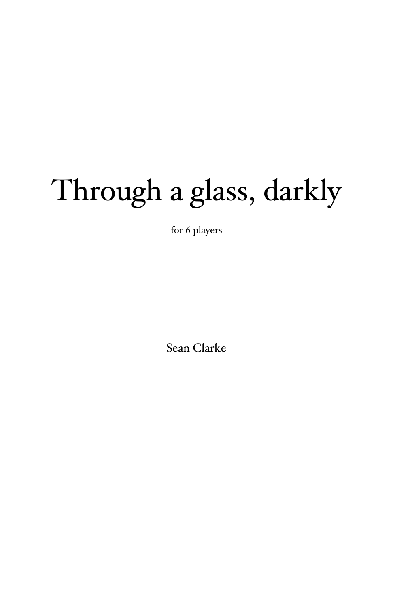# Through a glass, darkly

for 6 players

Sean Clarke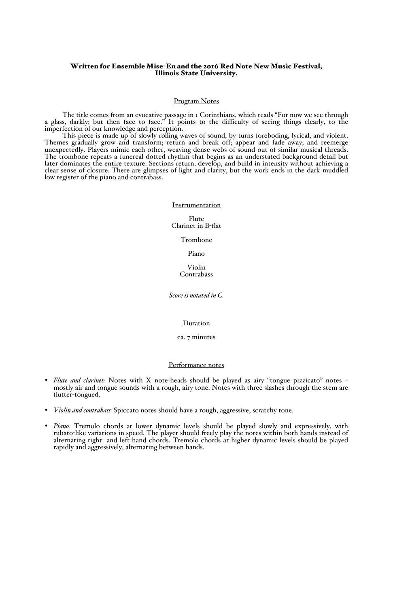# Written for Ensemble Mise-En and the 2016 Red Note New Music Festival, Illinois State University.

The title comes from an evocative passage in 1 Corinthians, which reads "For now we see through a glass, darkly; but then face to face." It points to the difficulty of seeing things clearly, to the imperfection of our knowledge and perception.<br>This piece is made up of slowly rolling waves of sound, by turns foreboding, lyrical, and violent.

## Program Notes

Themes gradually grow and transform; return and break off; appear and fade away; and reemerge unexpectedly. Players mimic each other, weaving dense webs of sound out of similar musical threads. The trombone repeats a funereal dotted rhythm that begins as an understated background detail but later dominates the entire texture. Sections return, develop, and build in intensity without achieving a clear sense of closure. There are glimpses of light and clarity, but the work ends in the dark muddled low register of the piano and contrabass.

> Violin **Contrabass**

- *Flute and clarinet:* Notes with X note-heads should be played as airy "tongue pizzicato" notes mostly air and tongue sounds with a rough, airy tone. Notes with three slashes through the stem are flutter-tongued.
- *Violin and contrabass:* Spiccato notes should have a rough, aggressive, scratchy tone.
- *Piano:* Tremolo chords at lower dynamic levels should be played slowly and expressively, with rubato-like variations in speed. The player should freely play the notes within both hands instead of alternating right- and left-hand chords. Tremolo chords at higher dynamic levels should be played rapidly and aggressively, alternating between hands.

### Instrumentation

Flute Clarinet in B-flat

Trombone

Piano

*Score is notated in C.*

**Duration** 

ca. 7 minutes

### Performance notes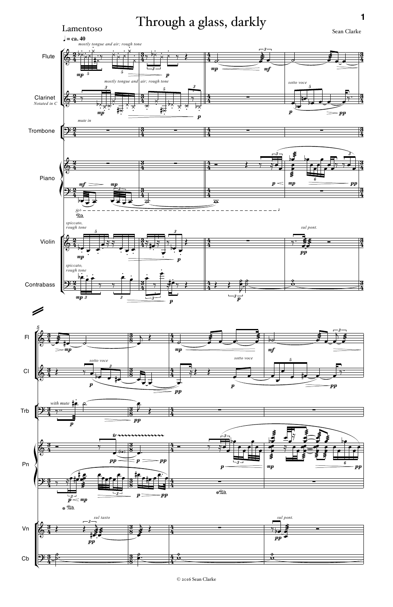



 $\odot$  2016 Sean Clarke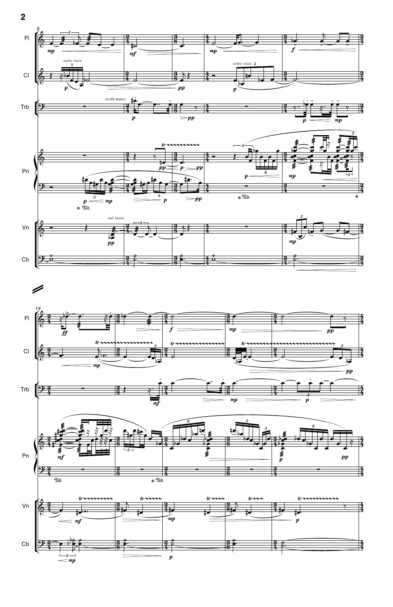

 $\overline{2}$ 



 $\frac{2}{4}$